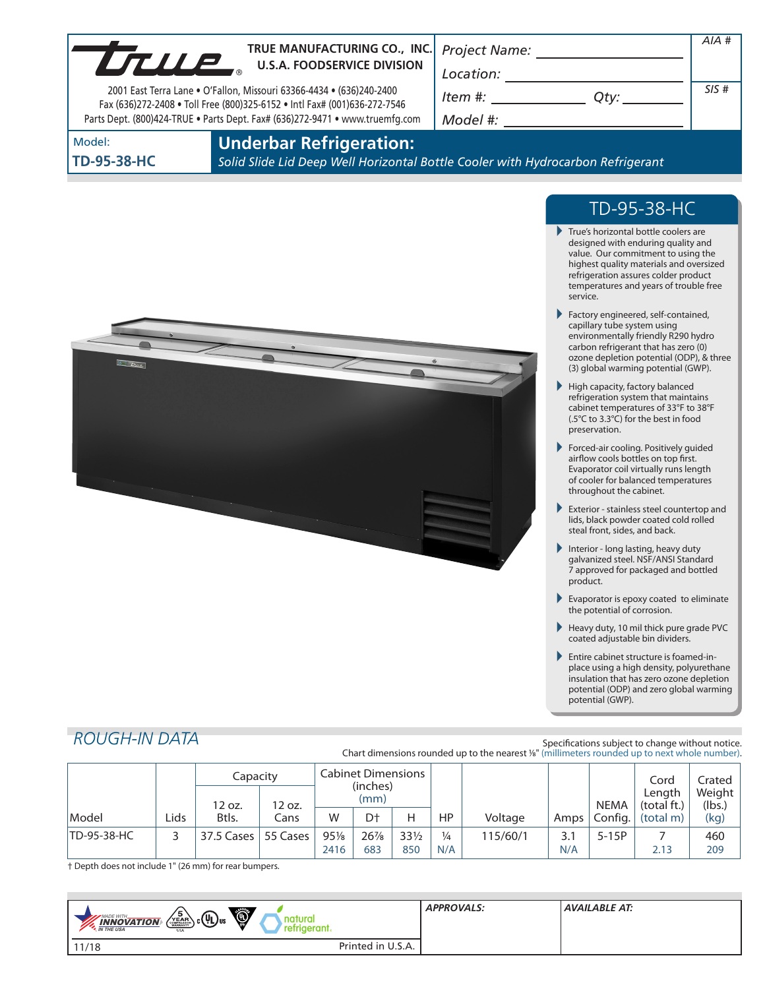| LTULE              | TRUE MANUFACTURING CO., INC.<br><b>U.S.A. FOODSERVICE DIVISION</b><br>2001 East Terra Lane . O'Fallon, Missouri 63366-4434 . (636)240-2400<br>Fax (636)272-2408 . Toll Free (800)325-6152 . Intl Fax# (001)636-272-7546<br>Parts Dept. (800)424-TRUE . Parts Dept. Fax# (636)272-9471 . www.truemfg.com | <b>Project Name:</b><br>Location:<br>Item #:<br>Model #: |  | $AIA$ #<br>SIS# |  |  |  |
|--------------------|---------------------------------------------------------------------------------------------------------------------------------------------------------------------------------------------------------------------------------------------------------------------------------------------------------|----------------------------------------------------------|--|-----------------|--|--|--|
| Model:             | <b>Underbar Refrigeration:</b>                                                                                                                                                                                                                                                                          |                                                          |  |                 |  |  |  |
| <b>TD-95-38-HC</b> | Solid Slide Lid Deep Well Horizontal Bottle Cooler with Hydrocarbon Refrigerant                                                                                                                                                                                                                         |                                                          |  |                 |  |  |  |



# TD-95-38-HC

- True's horizontal bottle coolers are designed with enduring quality and value. Our commitment to using the highest quality materials and oversized refrigeration assures colder product temperatures and years of trouble free service.
- Factory engineered, self-contained, capillary tube system using environmentally friendly R290 hydro carbon refrigerant that has zero (0) ozone depletion potential (ODP), & three (3) global warming potential (GWP).
- $\blacktriangleright$  High capacity, factory balanced refrigeration system that maintains cabinet temperatures of 33°F to 38°F (.5°C to 3.3°C) for the best in food preservation.
- Forced-air cooling. Positively guided airflow cools bottles on top first. Evaporator coil virtually runs length of cooler for balanced temperatures throughout the cabinet.
- Exterior stainless steel countertop and lids, black powder coated cold rolled steal front, sides, and back.
- Interior long lasting, heavy duty galvanized steel. NSF/ANSI Standard 7 approved for packaged and bottled product.
- Evaporator is epoxy coated to eliminate the potential of corrosion.
- Heavy duty, 10 mil thick pure grade PVC coated adjustable bin dividers.
- Entire cabinet structure is foamed-inplace using a high density, polyurethane insulation that has zero ozone depletion potential (ODP) and zero global warming potential (GWP).

# *ROUGH-IN DATA*

Specifications subject to change without notice. Chart dimensions rounded up to the nearest %" (millimeters rounded up to next whole number).

|                    |       | Capacity<br>12 oz. | 12 oz.   | <b>Cabinet Dimensions</b><br>(inches)<br>(mm) |                |                 |               |          |      |         | <b>NEMA</b> | Cord<br>Length<br>(total ft.) | Crated<br>Weight |
|--------------------|-------|--------------------|----------|-----------------------------------------------|----------------|-----------------|---------------|----------|------|---------|-------------|-------------------------------|------------------|
| Model              | Lids. | Btls.              | Cans     | W                                             | D <sup>+</sup> | н               | HP            | Voltage  | Amps | Config. | (total m)   | (lbs.)<br>(kg)                |                  |
| <b>TD-95-38-HC</b> |       | 37.5 Cases         | 55 Cases | 95%                                           | 26%            | $33\frac{1}{2}$ | $\frac{1}{4}$ | 115/60/1 | 3.1  | $5-15P$ |             | 460                           |                  |
|                    |       |                    |          | 2416                                          | 683            | 850             | N/A           |          | N/A  |         | 2.13        | 209                           |                  |

† Depth does not include 1" (26 mm) for rear bumpers.

| $\circledcirc$<br>$\left(\sum_{i=0}^{5} R_i B_i\right)$ c $\left(U_L\right)$ us<br>MADE WITH<br>$\frac{INNOVATION}{IN THE USA}$<br>retrigerant.<br><b>USA</b> |                   | <b>APPROVALS:</b> | AVAILABLE AT: |
|---------------------------------------------------------------------------------------------------------------------------------------------------------------|-------------------|-------------------|---------------|
| 11/18                                                                                                                                                         | Printed in U.S.A. |                   |               |